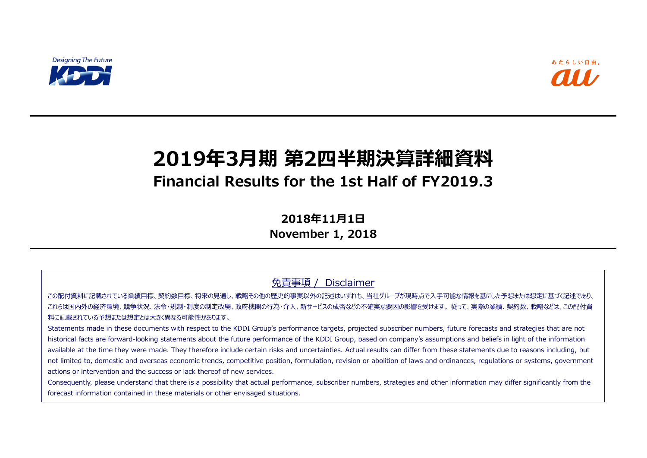

# **2019年3月期 第2四半期決算詳細資料 Financial Results for the 1st Half of FY2019.3**

**2018年11月1日 November 1, 2018**

免責事項 / Disclaimer

この配付資料に記載されている業績目標、契約数目標、将来の見通し、戦略その他の歴史的事実以外の記述はいずれも、当社グループが現時点で入手可能な情報を基にした予想または想定に基づく記述であり、 これらは国内外の経済環境、競争状況、法令・規制・制度の制定改廃、政府機関の行為・介入、新サービスの成否などの不確実な要因の影響を受けます。 従って、実際の業績、契約数、戦略などは、この配付資 料に記載されている予想または想定とは大きく異なる可能性があります。

Statements made in these documents with respect to the KDDI Group's performance targets, projected subscriber numbers, future forecasts and strategies that are not historical facts are forward-looking statements about the future performance of the KDDI Group, based on company's assumptions and beliefs in light of the information available at the time they were made. They therefore include certain risks and uncertainties. Actual results can differ from these statements due to reasons including, but not limited to, domestic and overseas economic trends, competitive position, formulation, revision or abolition of laws and ordinances, regulations or systems, government actions or intervention and the success or lack thereof of new services.

Consequently, please understand that there is a possibility that actual performance, subscriber numbers, strategies and other information may differ significantly from the forecast information contained in these materials or other envisaged situations.



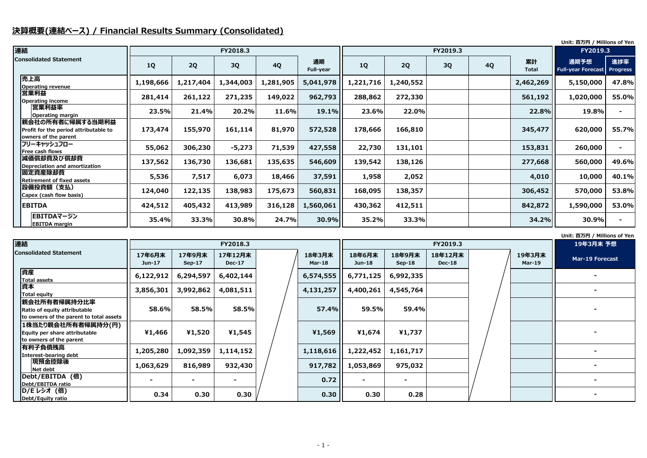### **決算概要(連結ベース) / Financial Results Summary (Consolidated)**

#### **Unit: 百万円 / Millions of Yen**

|                                                                                   |           |           |           |           |                        |           |           |          |           |                    | Unit: 百万円 / Millions of Yen       |                        |
|-----------------------------------------------------------------------------------|-----------|-----------|-----------|-----------|------------------------|-----------|-----------|----------|-----------|--------------------|-----------------------------------|------------------------|
| 連結                                                                                |           |           | FY2018.3  |           |                        |           |           | FY2019.3 |           |                    | FY2019.3                          |                        |
| <b>Consolidated Statement</b>                                                     | <b>1Q</b> | 2Q        | <b>3Q</b> | <b>4Q</b> | 通期<br><b>Full-year</b> | <b>1Q</b> | 2Q        | 3Q       | <b>4Q</b> | 累計<br><b>Total</b> | 通期予想<br><b>Full-year Forecast</b> | 進捗率<br><b>Progress</b> |
| 売上高<br>Operating revenue                                                          | 1,198,666 | 1,217,404 | 1,344,003 | 1,281,905 | 5,041,978              | 1,221,716 | 1,240,552 |          |           | 2,462,269          | 5,150,000                         | 47.8%                  |
| 営業利益<br>Operating income                                                          | 281,414   | 261,122   | 271,235   | 149,022   | 962,793                | 288,862   | 272,330   |          |           | 561,192            | 1,020,000                         | 55.0%                  |
| <b> 営業利益率</b><br><b>Operating margin</b>                                          | 23.5%     | 21.4%     | 20.2%     | 11.6%     | 19.1%                  | 23.6%     | 22.0%     |          |           | 22.8%              | 19.8%                             |                        |
| 親会社の所有者に帰属する当期利益<br>Profit for the period attributable to<br>owners of the parent | 173,474   | 155,970   | 161,114   | 81,970    | 572,528                | 178,666   | 166,810   |          |           | 345,477            | 620,000                           | 55.7%                  |
| フリーキャッシュフロー<br><b>Free cash flows</b>                                             | 55,062    | 306,230   | $-5,273$  | 71,539    | 427,558                | 22,730    | 131,101   |          |           | 153,831            | 260,000                           |                        |
| 減価償却費及び償却費<br>Depreciation and amortization                                       | 137,562   | 136,730   | 136,681   | 135,635   | 546,609                | 139,542   | 138,126   |          |           | 277,668            | 560,000                           | 49.6%                  |
| 固定資産除却費<br><b>Retirement of fixed assets</b>                                      | 5,536     | 7,517     | 6,073     | 18,466    | 37,591                 | 1,958     | 2,052     |          |           | 4,010              | 10,000                            | 40.1%                  |
| 設備投資額(支払)<br>Capex (cash flow basis)                                              | 124,040   | 122,135   | 138,983   | 175,673   | 560,831                | 168,095   | 138,357   |          |           | 306,452            | 570,000                           | 53.8%                  |
| <b>EBITDA</b>                                                                     | 424,512   | 405,432   | 413,989   | 316,128   | 1,560,061              | 430,362   | 412,511   |          |           | 842,872            | 1,590,000                         | 53.0%                  |
| <b>EBITDAマージン</b><br><b>EBITDA</b> margin                                         | 35.4%     | 33.3%     | 30.8%     | 24.7%     | 30.9%                  | 35.2%     | 33.3%     |          |           | 34.2%              | 30.9%                             |                        |

|                         | 19年3月末 予想       |
|-------------------------|-----------------|
| 19年3月末<br><b>Mar-19</b> | Mar-19 Forecast |
|                         |                 |
|                         |                 |
|                         |                 |
|                         |                 |
|                         |                 |
|                         |                 |
|                         |                 |
|                         |                 |

| 連結<br>FY2018.3<br>FY2019.3                                                               |                    |                    |                          |  |                  |                         | 19年3月              |                          |  |                  |                 |
|------------------------------------------------------------------------------------------|--------------------|--------------------|--------------------------|--|------------------|-------------------------|--------------------|--------------------------|--|------------------|-----------------|
| <b>Consolidated Statement</b>                                                            | 17年6月末<br>$Jun-17$ | 17年9月末<br>$Sep-17$ | 17年12月末<br><b>Dec-17</b> |  | 18年3月末<br>Mar-18 | 18年6月末<br><b>Jun-18</b> | 18年9月末<br>$Sep-18$ | 18年12月末<br><b>Dec-18</b> |  | 19年3月末<br>Mar-19 | <b>Mar-19 F</b> |
| 資産<br><b>Total assets</b>                                                                | 6,122,912          | 6,294,597          | 6,402,144                |  | 6,574,555        | 6,771,125               | 6,992,335          |                          |  |                  |                 |
| 資本<br><b>Total equity</b>                                                                | 3,856,301          | 3,992,862          | 4,081,511                |  | 4,131,257        | 4,400,261               | 4,545,764          |                          |  |                  |                 |
| 親会社所有者帰属持分比率 <br>Ratio of equity attributable<br>to owners of the parent to total assets | 58.6%              | 58.5%              | 58.5%                    |  | <b>57.4%</b>     | 59.5%                   | 59.4%              |                          |  |                  |                 |
| 1株当たり親会社所有者帰属持分(円)<br>Equity per share attributable<br>to owners of the parent           | ¥1,466             | ¥1,520             | ¥1,545                   |  | ¥1,569           | ¥1,674                  | ¥1,737             |                          |  |                  |                 |
| 有利子負債残高<br>Interest-bearing debt                                                         | 1,205,280          | 1,092,359          | 1,114,152                |  | 1,118,616        | 1,222,452               | 1,161,717          |                          |  |                  |                 |
| 現預金控除後<br>Net debt                                                                       | 1,063,629          | 816,989            | 932,430                  |  | 917,782          | 1,053,869               | 975,032            |                          |  |                  |                 |
| Debt/EBITDA (倍)<br>Debt/EBITDA ratio                                                     |                    |                    |                          |  | 0.72             |                         |                    |                          |  |                  |                 |
| D/E レシオ (倍)<br>Debt/Equity ratio                                                         | 0.34               | 0.30               | 0.30                     |  | 0.30             | 0.30                    | 0.28               |                          |  |                  |                 |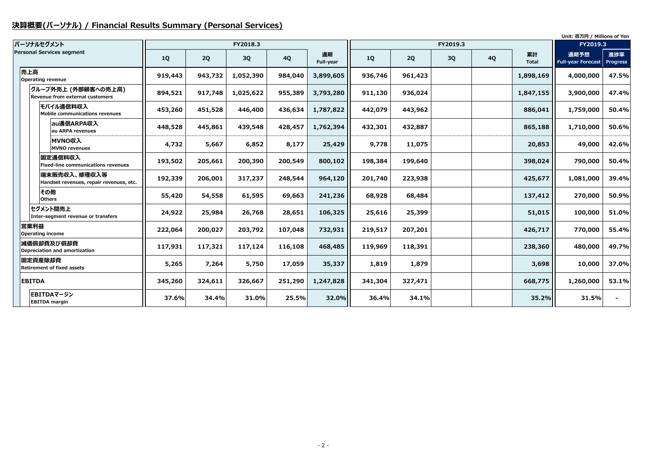# **決算概要(パーソナル) / Financial Results Summary (Personal Services)**

|                                                               |           |         |           |           |                 |         |         |          | Unit: 百万円 / Millions of Yen |                    |                                   |                        |
|---------------------------------------------------------------|-----------|---------|-----------|-----------|-----------------|---------|---------|----------|-----------------------------|--------------------|-----------------------------------|------------------------|
| パーソナルセグメント                                                    |           |         | FY2018.3  |           |                 |         |         | FY2019.3 |                             |                    | FY2019.3                          |                        |
| <b>Personal Services segment</b>                              | <b>1Q</b> | 2Q      | 3Q        | <b>4Q</b> | 通期<br>Full-year | 1Q      | 2Q      | 3Q       | <b>4Q</b>                   | 累計<br><b>Total</b> | 通期予想<br><b>Full-year Forecast</b> | 進捗率<br><b>Progress</b> |
| 売上高<br>Operating revenue                                      | 919,443   | 943,732 | 1,052,390 | 984,040   | 3,899,605       | 936,746 | 961,423 |          |                             | 1,898,169          | 4,000,000                         | 47.5%                  |
| グループ外売上 (外部顧客への売上高)<br><b>Revenue from external customers</b> | 894,521   | 917,748 | 1,025,622 | 955,389   | 3,793,280       | 911,130 | 936,024 |          |                             | 1,847,155          | 3,900,000                         | 47.4%                  |
| モバイル通信料収入<br>Mobile communications revenues                   | 453,260   | 451,528 | 446,400   | 436,634   | 1,787,822       | 442,079 | 443,962 |          |                             | 886,041            | 1,759,000                         | 50.4%                  |
| au通信ARPA収入<br>au ARPA revenues                                | 448,528   | 445,861 | 439,548   | 428,457   | 1,762,394       | 432,301 | 432,887 |          |                             | 865,188            | 1,710,000                         | 50.6%                  |
| MVNO収入<br><b>MVNO revenues</b>                                | 4,732     | 5,667   | 6,852     | 8,177     | 25,429          | 9,778   | 11,075  |          |                             | 20,853             | 49,000                            | 42.6%                  |
| 固定通信料収入<br><b>Fixed-line communications revenues</b>          | 193,502   | 205,661 | 200,390   | 200,549   | 800,102         | 198,384 | 199,640 |          |                             | 398,024            | 790,000                           | 50.4%                  |
| 端末販売収入、修理収入等<br>Handset revenues, repair revenues, etc.       | 192,339   | 206,001 | 317,237   | 248,544   | 964,120         | 201,740 | 223,938 |          |                             | 425,677            | 1,081,000                         | 39.4%                  |
| その他<br><b>Others</b>                                          | 55,420    | 54,558  | 61,595    | 69,663    | 241,236         | 68,928  | 68,484  |          |                             | 137,412            | 270,000                           | 50.9%                  |
| セグメント間売上<br>Inter-segment revenue or transfers                | 24,922    | 25,984  | 26,768    | 28,651    | 106,325         | 25,616  | 25,399  |          |                             | 51,015             | 100,000                           | 51.0%                  |
| 営業利益<br><b>Operating income</b>                               | 222,064   | 200,027 | 203,792   | 107,048   | 732,931         | 219,517 | 207,201 |          |                             | 426,717            | 770,000                           | 55.4%                  |
| 減価償却費及び償却費<br><b>Depreciation and amortization</b>            | 117,931   | 117,321 | 117,124   | 116,108   | 468,485         | 119,969 | 118,391 |          |                             | 238,360            | 480,000                           | 49.7%                  |
| 固定資産除却費<br><b>Retirement of fixed assets</b>                  | 5,265     | 7,264   | 5,750     | 17,059    | 35,337          | 1,819   | 1,879   |          |                             | 3,698              | 10,000                            | 37.0%                  |
| <b>EBITDA</b>                                                 | 345,260   | 324,611 | 326,667   | 251,290   | 1,247,828       | 341,304 | 327,471 |          |                             | 668,775            | 1,260,000                         | 53.1%                  |
| EBITDAマージン<br><b>EBITDA</b> margin                            | 37.6%     | 34.4%   | 31.0%     | 25.5%     | 32.0%           | 36.4%   | 34.1%   |          |                             | 35.2%              | 31.5%                             |                        |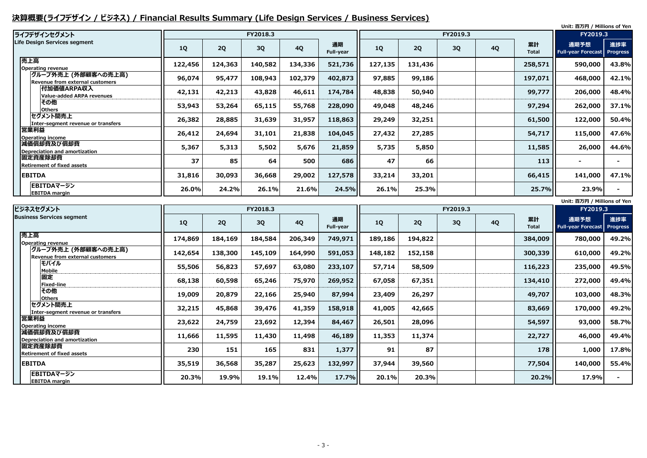# **決算概要(ライフデザイン / ビジネス) / Financial Results Summary (Life Design Services / Business Services)**

|                                                         |           |         |          |           |                 |         |         |          |           |                    | Unit: 百万円 / Millions of Yen                                                                                                                                                                      |                        |
|---------------------------------------------------------|-----------|---------|----------|-----------|-----------------|---------|---------|----------|-----------|--------------------|--------------------------------------------------------------------------------------------------------------------------------------------------------------------------------------------------|------------------------|
| ライフデザインセグメント                                            |           |         | FY2018.3 |           |                 |         |         | FY2019.3 |           |                    | FY2019.3                                                                                                                                                                                         |                        |
| Life Design Services segment                            | <b>1Q</b> | 2Q      | 3Q       | <b>4Q</b> | 通期<br>Full-year | 1Q      | 2Q      | 3Q       | <b>4Q</b> | 累計<br><b>Total</b> | 通期予想<br><b>Full-year Forecast</b>                                                                                                                                                                | 進捗率<br><b>Progress</b> |
| 売上高<br><b>Operating revenue</b>                         | 122,456   | 124,363 | 140,582  | 134,336   | 521,736         | 127,135 | 131,436 |          |           | 258,571            | 590,000                                                                                                                                                                                          | 43.8%                  |
| グループ外売上 (外部顧客への売上高) <br>Revenue from external customers | 96,074    | 95,477  | 108,943  | 102,379   | 402,873         | 97,885  | 99,186  |          |           | 197,071            | 468,000                                                                                                                                                                                          | 42.1%                  |
| 付加価値ARPA収入<br><b>Value-added ARPA revenues</b>          | 42,131    | 42,213  | 43,828   | 46,611    | 174,784         | 48,838  | 50,940  |          |           | 99,777             | 206,000                                                                                                                                                                                          | 48.4%                  |
| その他<br><b>Others</b>                                    | 53,943    | 53,264  | 65,115   | 55,768    | 228,090         | 49,048  | 48,246  |          |           | 97,294             | 262,000                                                                                                                                                                                          | 37.1%                  |
| セグメント間売上<br>Inter-segment revenue or transfers          | 26,382    | 28,885  | 31,639   | 31,957    | 118,863         | 29,249  | 32,251  |          |           | 61,500             | 122,000                                                                                                                                                                                          | 50.4%                  |
| 営業利益<br><b>Operating income</b>                         | 26,412    | 24,694  | 31,101   | 21,838    | 104,045         | 27,432  | 27,285  |          |           | 54,717             | 115,000                                                                                                                                                                                          | 47.6%                  |
| 減価償却費及び償却費<br>Depreciation and amortization             | 5,367     | 5,313   | 5,502    | 5,676     | 21,859          | 5,735   | 5,850   |          |           | 11,585             | 26,000                                                                                                                                                                                           | 44.6%                  |
| 固定資産除却費<br><b>Retirement of fixed assets</b>            | 37        | 85      | 64       | 500       | 686             | 47      | 66      |          |           | 113                | $\blacksquare$                                                                                                                                                                                   |                        |
| <b>EBITDA</b>                                           | 31,816    | 30,093  | 36,668   | 29,002    | 127,578         | 33,214  | 33,201  |          |           | 66,415             | 141,000                                                                                                                                                                                          | 47.1%                  |
| EBITDAマージン<br><b>EBITDA</b> margin                      | 26.0%     | 24.2%   | 26.1%    | 21.6%     | 24.5%           | 26.1%   | 25.3%   |          |           | 25.7%              | 23.9%                                                                                                                                                                                            |                        |
|                                                         |           |         |          |           |                 |         |         |          |           |                    | $H_{\text{in}}(k)$ . $\mathbb{Z}$ $\mathbb{Z}$ $\mathbb{H}$ $\rightarrow$ $I$ $\mathbb{R}$ $\mathbb{Z}$ $\rightarrow$ $\mathbb{Z}$ $\mathbb{Z}$ $\rightarrow$ $I$ $\mathbb{Z}$ $\rightarrow$ $I$ |                        |

|      | Unit: 百万円 / Millions of Yen |                 |
|------|-----------------------------|-----------------|
|      | FY2019.3                    |                 |
| t    | 通期予想                        | 進捗率             |
| ۱ı   | <b>Full-year Forecast</b>   | <b>Progress</b> |
| 009  | 780,000                     | 49.2%           |
| 339  | 610,000                     | 49.2%           |
| 223  | 235,000                     | 49.5%           |
| 410  | 272,000                     | 49.4%           |
| 707  | 103,000                     | 48.3%           |
| 669  | 170,000                     | 49.2%           |
| 597  | 93,000                      | 58.7%           |
| 727  | 46,000                      | 49.4%           |
| 178  | 1,000                       | 17.8%           |
| 504  | 140,000                     | 55.4%           |
| 0.2% | 17.9%                       |                 |
|      |                             |                 |

| ビジネスセグメント                                                      |         |         | FY2018.3  |           |                        |         |         | FY2019.3 |           |                    |                                   |                        |
|----------------------------------------------------------------|---------|---------|-----------|-----------|------------------------|---------|---------|----------|-----------|--------------------|-----------------------------------|------------------------|
| <b>Business Services segment</b>                               | 1Q      | 2Q      | <b>3Q</b> | <b>4Q</b> | 通期<br><b>Full-year</b> | 1Q      | 2Q      | 3Q       | <b>4Q</b> | 累計<br><b>Total</b> | 通期予想<br><b>Full-year Forecast</b> | 進捗率<br><b>Progress</b> |
| 売上高<br><b>Operating revenue</b>                                | 174,869 | 184,169 | 184,584   | 206,349   | 749,971                | 189,186 | 194,822 |          |           | 384,009            | 780,000                           | 49.2%                  |
| グループ外売上 (外部顧客への売上高) <br><b>Revenue from external customers</b> | 142,654 | 138,300 | 145,109   | 164,990   | 591,053                | 148,182 | 152,158 |          |           | 300,339            | 610,000                           | 49.2%                  |
| モバイル<br><b>Mobile</b>                                          | 55,506  | 56,823  | 57,697    | 63,080    | 233,107                | 57,714  | 58,509  |          |           | 116,223            | 235,000                           | 49.5%                  |
| 固定<br><b>Fixed-line</b>                                        | 68,138  | 60,598  | 65,246    | 75,970    | 269,952                | 67,058  | 67,351  |          |           | 134,410            | 272,000                           | 49.4%                  |
| その他<br><b>Others</b>                                           | 19,009  | 20,879  | 22,166    | 25,940    | 87,994                 | 23,409  | 26,297  |          |           | 49,707             | 103,000                           | 48.3%                  |
| セグメント間売上<br>Inter-segment revenue or transfers                 | 32,215  | 45,868  | 39,476    | 41,359    | 158,918                | 41,005  | 42,665  |          |           | 83,669             | 170,000                           | 49.2%                  |
| 営業利益<br>Operating income                                       | 23,622  | 24,759  | 23,692    | 12,394    | 84,467                 | 26,501  | 28,096  |          |           | 54,597             | 93,000                            | 58.7%                  |
| 減価償却費及び償却費<br>Depreciation and amortization                    | 11,666  | 11,595  | 11,430    | 11,498    | 46,189                 | 11,353  | 11,374  |          |           | 22,727             | 46,000                            | 49.4%                  |
| 固定資産除却費<br><b>Retirement of fixed assets</b>                   | 230     | 151     | 165       | 831       | 1,377                  | 91      | 87      |          |           | 178                | 1,000                             | 17.8%                  |
| <b>EBITDA</b>                                                  | 35,519  | 36,568  | 35,287    | 25,623    | 132,997                | 37,944  | 39,560  |          |           | 77,504             | 140,000                           | 55.4%                  |
| EBITDAマージン<br><b>EBITDA</b> margin                             | 20.3%   | 19.9%   | 19.1%     | 12.4%     | 17.7%                  | 20.1%   | 20.3%   |          |           | 20.2%              | 17.9%                             |                        |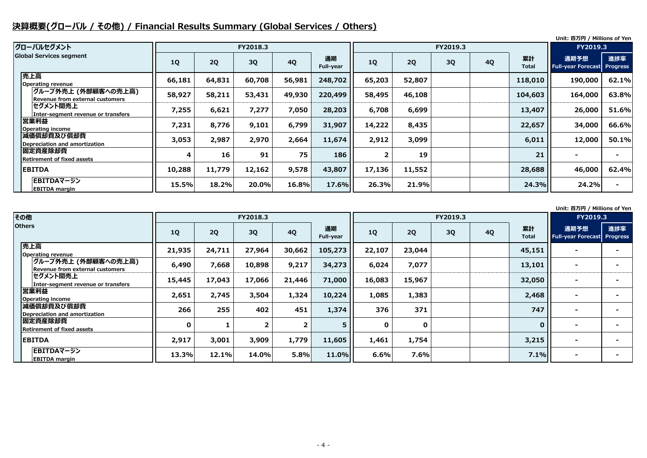# **決算概要(グローバル / その他) / Financial Results Summary (Global Services / Others)**

**Unit: 百万円 / Millions of Yen**

#### **Unit: 百万円 / Millions of Yen**

| グローバルセグメント                                                    |           |        | FY2018.3 |           |                        |        |        |    | <b>FY2019.3</b> |                    |                                            |       |
|---------------------------------------------------------------|-----------|--------|----------|-----------|------------------------|--------|--------|----|-----------------|--------------------|--------------------------------------------|-------|
| <b>Global Services segment</b>                                | <b>1Q</b> | 2Q     | 3Q       | <b>4Q</b> | 通期<br><b>Full-year</b> | 1Q     | 2Q     | 3Q | <b>4Q</b>       | 累計<br><b>Total</b> | 通期予想<br><b>Full-year Forecast Progress</b> | 進捗率   |
| 売上高<br><b>Operating revenue</b>                               | 66,181    | 64,831 | 60,708   | 56,981    | 248,702                | 65,203 | 52,807 |    |                 | 118,010            | 190,000                                    | 62.1% |
| グループ外売上 (外部顧客への売上高)<br><b>Revenue from external customers</b> | 58,927    | 58,211 | 53,431   | 49,930    | 220,499                | 58,495 | 46,108 |    |                 | 104,603            | 164,000                                    | 63.8% |
| セグメント間売上<br>Inter-segment revenue or transfers                | 7,255     | 6,621  | 7,277    | 7,050     | 28,203                 | 6,708  | 6,699  |    |                 | 13,407             | 26,000                                     | 51.6% |
| 営業利益<br><b>Operating income</b>                               | 7,231     | 8,776  | 9,101    | 6,799     | 31,907                 | 14,222 | 8,435  |    |                 | 22,657             | 34,000                                     | 66.6% |
| 減価償却費及び償却費<br>Depreciation and amortization                   | 3,053     | 2,987  | 2,970    | 2,664     | 11,674                 | 2,912  | 3,099  |    |                 | 6,011              | 12,000                                     | 50.1% |
| 固定資産除却費<br><b>Retirement of fixed assets</b>                  | 4         | 16     | 91       | 75        | 186                    |        | 19     |    |                 | 21                 |                                            |       |
| <b>EBITDA</b>                                                 | 10,288    | 11,779 | 12,162   | 9,578     | 43,807                 | 17,136 | 11,552 |    |                 | 28,688             | 46,000                                     | 62.4% |
| EBITDAマージン<br><b>EBITDA margin</b>                            | 15.5%     | 18.2%  | 20.0%    | 16.8%     | 17.6%                  | 26.3%  | 21.9%  |    |                 | 24.3%              | 24.2%                                      |       |

|   |                    | <u>ווס וויס כווטווויו / נונגם ווווט</u> |                        |
|---|--------------------|-----------------------------------------|------------------------|
|   |                    | FY2019.3                                |                        |
| Q | 累計<br><b>Total</b> | 通期予想<br><b>Full-year Forecast</b>       | 進捗率<br><b>Progress</b> |
|   | 118,010            | 190,000                                 | 62.1%                  |
|   | 104,603            | 164,000                                 | 63.8%                  |
|   | 13,407             | 26,000                                  | 51.6%                  |
|   | 22,657             | 34,000                                  | 66.6%                  |
|   | 6,011              | 12,000                                  | 50.1%                  |
|   | 21                 |                                         |                        |
|   | 28,688             | 46,000                                  | 62.4%                  |
|   | 24.3%              | 24.2%                                   |                        |

|                  | FY2019.3                          |                        |
|------------------|-----------------------------------|------------------------|
|                  | 通期予想<br><b>Full-year Forecast</b> | 進捗率<br><b>Progress</b> |
| 51               |                                   |                        |
| 01               |                                   |                        |
| 50               |                                   |                        |
| 68               |                                   |                        |
| 47               |                                   |                        |
| $\boldsymbol{0}$ |                                   |                        |
| 15               |                                   |                        |
| 1%               |                                   |                        |

| その他                                                    |              |        | FY2018.3 |             |                 |             |             | FY2019.3  |           |                    |                                        |    |
|--------------------------------------------------------|--------------|--------|----------|-------------|-----------------|-------------|-------------|-----------|-----------|--------------------|----------------------------------------|----|
| <b>Others</b>                                          | 1Q           | 2Q     | 3Q       | <b>4Q</b>   | 通期<br>Full-year | <b>1Q</b>   | 2Q          | <b>3Q</b> | <b>4Q</b> | 累計<br><b>Total</b> | 通期予想<br><b>Full-year Forecast Prog</b> | 進抄 |
| 売上高<br><b>Operating revenue</b>                        | 21,935       | 24,711 | 27,964   | 30,662      | 105,273         | 22,107      | 23,044      |           |           | 45,151             |                                        |    |
| グループ外売上 (外部顧客への売上高)<br>Revenue from external customers | 6,490        | 7,668  | 10,898   | 9,217       | 34,273          | 6,024       | 7,077       |           |           | 13,101             | $\overline{\phantom{0}}$               |    |
| セグメント間売上<br>Inter-segment revenue or transfers         | 15,445       | 17,043 | 17,066   | 21,446      | 71,000          | 16,083      | 15,967      |           |           | 32,050             |                                        |    |
| 営業利益<br><b>Operating income</b>                        | 2,651        | 2,745  | 3,504    | 1,324       | 10,224          | 1,085       | 1,383       |           |           | 2,468              |                                        |    |
| 減価償却費及び償却費<br><b>Depreciation and amortization</b>     | 266          | 255    | 402      | 451         | 1,374           | 376         | 371         |           |           | 747                |                                        |    |
| 固定資産除却費<br><b>Retirement of fixed assets</b>           | $\mathbf{0}$ |        |          | $2^{\circ}$ | 5               | $\mathbf 0$ | $\mathbf 0$ |           |           | $\mathbf{0}$       |                                        |    |
| <b>EBITDA</b>                                          | 2,917        | 3,001  | 3,909    | 1,779       | 11,605          | 1,461       | 1,754       |           |           | 3,215              |                                        |    |
| EBITDAマージン<br><b>EBITDA</b> margin                     | 13.3%        | 12.1%  | 14.0%    | 5.8%        | 11.0%           | 6.6%        | 7.6%        |           |           | 7.1%               |                                        |    |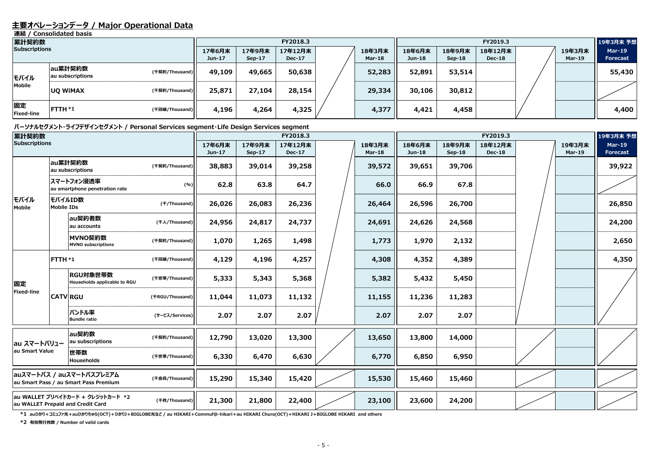### **主要オペレーションデータ / Major Operational Data**

**連結 / Consolidated basis**

#### **パーソナルセグメント・ライフデザインセグメント / Personal Services segment・Life Design Services segment**

| 累計契約数                   |                             |                |                    |                    | FY2018.3                 |  | FY2019.3                |                    |                    |                          |  | 19年3月末 予想        |                                  |
|-------------------------|-----------------------------|----------------|--------------------|--------------------|--------------------------|--|-------------------------|--------------------|--------------------|--------------------------|--|------------------|----------------------------------|
| <b>Subscriptions</b>    |                             |                | 17年6月末<br>$Jun-17$ | 17年9月末<br>$Sep-17$ | 17年12月末<br><b>Dec-17</b> |  | 18年3月末<br><b>Mar-18</b> | 18年6月末<br>$Jun-18$ | 18年9月末<br>$Sep-18$ | 18年12月末<br><b>Dec-18</b> |  | 19年3月末<br>Mar-19 | <b>Mar-19</b><br><b>Forecast</b> |
| モバイル                    | au累計契約数<br>au subscriptions | (千契約/Thousand) | 49,109             | 49,665             | 50,638                   |  | 52,283                  | 52,891             | 53,514             |                          |  |                  | 55,430                           |
| <b>Mobile</b>           | <b>UQ WIMAX</b>             | (千契約/Thousand) | 25,871             | 27,104             | 28,154                   |  | 29,334                  | 30,106             | 30,812             |                          |  |                  |                                  |
| 固定<br><b>Fixed-line</b> | $FTTH*1$                    | (千回線/Thousand) | 4,196              | 4,264              | 4,325                    |  | 4,377                   | 4,421              | 4,458              |                          |  |                  | 4,400                            |

**\*1 auひかり+コミュファ光+auひかりちゅら(OCT)+ひかりJ+BIGLOBE光など / au HIKARI+Commuf@-hikari+au HIKARI Chura(OCT)+HIKARI J+BIGLOBE HIKARI and others**

| 累計契約数                                                                                  |                                                     |                                               | FY2018.3        |                  |                         |                          | FY2019.3 |                         |                  |                         | 19年3月末 予想                |  |                         |                                  |
|----------------------------------------------------------------------------------------|-----------------------------------------------------|-----------------------------------------------|-----------------|------------------|-------------------------|--------------------------|----------|-------------------------|------------------|-------------------------|--------------------------|--|-------------------------|----------------------------------|
| <b>Subscriptions</b>                                                                   |                                                     |                                               |                 | 17年6月末<br>Jun-17 | 17年9月末<br><b>Sep-17</b> | 17年12月末<br><b>Dec-17</b> |          | 18年3月末<br><b>Mar-18</b> | 18年6月末<br>Jun-18 | 18年9月末<br><b>Sep-18</b> | 18年12月末<br><b>Dec-18</b> |  | 19年3月末<br><b>Mar-19</b> | <b>Mar-19</b><br><b>Forecast</b> |
|                                                                                        |                                                     | au累計契約数<br>(千契約/Thousand)<br>au subscriptions |                 | 38,883           | 39,014                  | 39,258                   |          | 39,572                  | 39,651           | 39,706                  |                          |  |                         | 39,922                           |
| モバイル<br>Mobile                                                                         | スマートフォン浸透率<br>(%)<br>au smartphone penetration rate |                                               | 62.8            | 63.8             | 64.7                    |                          | 66.0     | 66.9                    | 67.8             |                         |                          |  |                         |                                  |
|                                                                                        | モバイルID数<br><b>Mobile IDs</b>                        |                                               | (f/Thousand)    | 26,026           | 26,083                  | 26,236                   |          | 26,464                  | 26,596           | 26,700                  |                          |  |                         | 26,850                           |
|                                                                                        |                                                     | au契約者数<br>au accounts                         | (千人/Thousand)   | 24,956           | 24,817                  | 24,737                   |          | 24,691                  | 24,626           | 24,568                  |                          |  |                         | 24,200                           |
|                                                                                        |                                                     | MVNO契約数<br><b>MVNO</b> subscriptions          | (千契約/Thousand)  | 1,070            | 1,265                   | 1,498                    |          | 1,773                   | 1,970            | 2,132                   |                          |  |                         | 2,650                            |
| 固定<br>Fixed-line                                                                       | FTTH *1                                             |                                               | (千回線/Thousand)  | 4,129            | 4,196                   | 4,257                    |          | 4,308                   | 4,352            | 4,389                   |                          |  |                         | 4,350                            |
|                                                                                        |                                                     | RGU対象世帯数<br>Households applicable to RGU      | (千世帯/Thousand)  | 5,333            | 5,343                   | 5,368                    |          | 5,382                   | 5,432            | 5,450                   |                          |  |                         |                                  |
|                                                                                        |                                                     | <b>CATV RGU</b>                               | (FRGU/Thousand) | 11,044           | 11,073                  | 11,132                   |          | 11,155                  | 11,236           | 11,283                  |                          |  |                         |                                  |
|                                                                                        |                                                     | バンドル率<br><b>Bundle ratio</b>                  | (サービス/Services) | 2.07             | 2.07                    | 2.07                     |          | 2.07                    | 2.07             | 2.07                    |                          |  |                         |                                  |
| au スマートバリュー<br>au Smart Value                                                          |                                                     | au契約数<br>au subscriptions                     | (千契約/Thousand)  | 12,790           | 13,020                  | 13,300                   |          | 13,650                  | 13,800           | 14,000                  |                          |  |                         |                                  |
|                                                                                        |                                                     | 世帯数<br>Households                             | (千世帯/Thousand)  | 6,330            | 6,470                   | 6,630                    |          | 6,770                   | 6,850            | 6,950                   |                          |  |                         |                                  |
| auスマートパス / auスマートパスプレミアム<br>(千会員/Thousand)<br>au Smart Pass / au Smart Pass Premium    |                                                     | 15,290                                        | 15,340          | 15,420           |                         | 15,530                   | 15,460   | 15,460                  |                  |                         |                          |  |                         |                                  |
| au WALLET プリペイドカード + クレジットカード *2<br>(千枚/Thousand)<br>au WALLET Prepaid and Credit Card |                                                     | 21,300                                        | 21,800          | 22,400           |                         | 23,100                   | 23,600   | 24,200                  |                  |                         |                          |  |                         |                                  |

**\*2 有効発行枚数 / Number of valid cards**

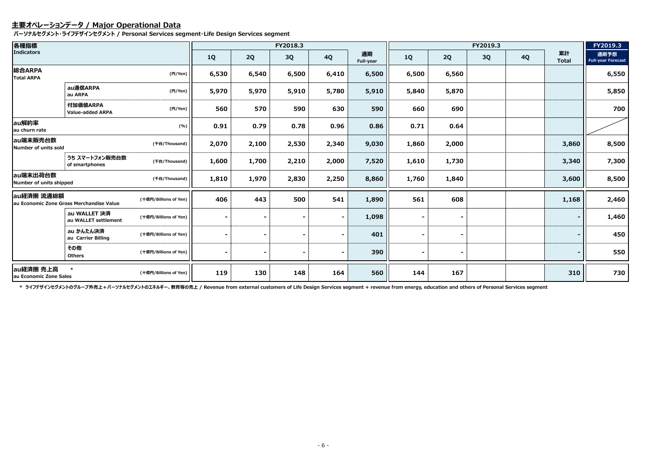### **主要オペレーションデータ / Major Operational Data**

**パーソナルセグメント・ライフデザインセグメント / Personal Services segment・Life Design Services segment**

| 各種指標<br><b>Indicators</b>                                                       |                                      |                       | FY2018.3  |       |       |           | FY2019.3        |           |                |    | FY2019.3  |                    |                                   |
|---------------------------------------------------------------------------------|--------------------------------------|-----------------------|-----------|-------|-------|-----------|-----------------|-----------|----------------|----|-----------|--------------------|-----------------------------------|
|                                                                                 |                                      |                       | <b>1Q</b> | 2Q    | 3Q    | <b>4Q</b> | 通期<br>Full-year | <b>1Q</b> | 2Q             | 3Q | <b>4Q</b> | 累計<br><b>Total</b> | 通期予想<br><b>Full-year Forecast</b> |
| 総合ARPA<br><b>Total ARPA</b>                                                     |                                      | (円/Yen)               | 6,530     | 6,540 | 6,500 | 6,410     | 6,500           | 6,500     | 6,560          |    |           |                    | 6,550                             |
|                                                                                 | au通信ARPA<br>au ARPA                  | (H/Yen)               | 5,970     | 5,970 | 5,910 | 5,780     | 5,910           | 5,840     | 5,870          |    |           |                    | 5,850                             |
|                                                                                 | 付加価値ARPA<br><b>Value-added ARPA</b>  | (円/Yen)               | 560       | 570   | 590   | 630       | 590             | 660       | 690            |    |           |                    | 700                               |
| au解約率<br>au churn rate                                                          |                                      | (%)                   | 0.91      | 0.79  | 0.78  | 0.96      | 0.86            | 0.71      | 0.64           |    |           |                    |                                   |
| au端末販売台数<br>Number of units sold                                                |                                      | (千台/Thousand)         | 2,070     | 2,100 | 2,530 | 2,340     | 9,030           | 1,860     | 2,000          |    |           | 3,860              | 8,500                             |
|                                                                                 | うち スマートフォン販売台数<br>of smartphones     | (千台/Thousand)         | 1,600     | 1,700 | 2,210 | 2,000     | 7,520           | 1,610     | 1,730          |    |           | 3,340              | 7,300                             |
| au端末出荷台数<br>Number of units shipped                                             |                                      | (千台/Thousand)         | 1,810     | 1,970 | 2,830 | 2,250     | 8,860           | 1,760     | 1,840          |    |           | 3,600              | 8,500                             |
| au経済圏 流通総額<br>(十億円/Billions of Yen)<br>au Economic Zone Gross Merchandise Value |                                      | 406                   | 443       | 500   | 541   | 1,890     | 561             | 608       |                |    | 1,168     | 2,460              |                                   |
|                                                                                 | au WALLET 決済<br>au WALLET settlement | (十億円/Billions of Yen) |           |       |       |           | 1,098           |           | $\blacksquare$ |    |           |                    | 1,460                             |
|                                                                                 | au かんたん決済<br>au Carrier Billing      | (十億円/Billions of Yen) |           |       |       |           | 401             |           | $\blacksquare$ |    |           |                    | 450                               |
|                                                                                 | その他<br><b>Others</b>                 | (十億円/Billions of Yen) |           |       |       |           | 390             |           | $\blacksquare$ |    |           |                    | 550                               |
| au経済圏 売上高<br>au Economic Zone Sales                                             |                                      | (十億円/Billions of Yen) | 119       | 130   | 148   | 164       | 560             | 144       | 167            |    |           | 310                | 730                               |

\* ライフデザインセグメントのグループ外売上 + パーソナルセグメントのエネルギー、教育等の売上 / Revenue from external customers of Life Design Services segment + revenue from energy, education and others of Personal Services segment